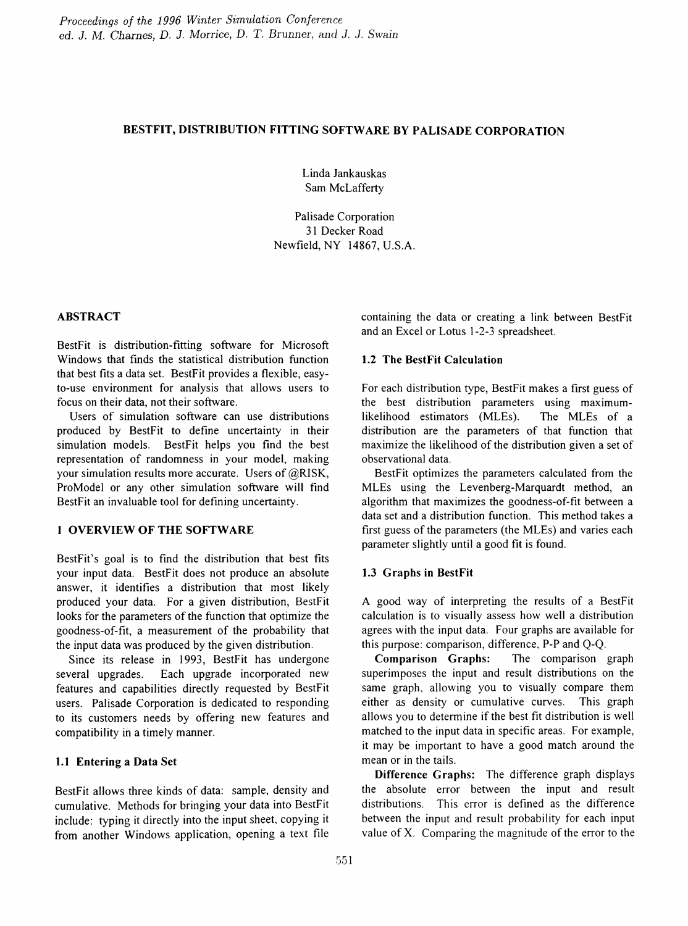# BESTFIT, DISTRIBUTION FITTING SOFTWARE BY PALISADE CORPORATION

Linda lankauskas Sam McLafferty

Palisade Corporation 31 Decker Road Newfield, NY 14867, U.S.A.

## ABSTRACT

BestFit is distribution-fitting software for Microsoft Windows that fmds the statistical distribution function that best fits a data set. BestFit provides a flexible, easyto-use environment for analysis that allows users to focus on their data, not their software.

Users of simulation software can use distributions produced by BestFit to define uncertainty in their simulation models. BestFit helps you find the best representation of randomness in your model, making your simulation results more accurate. Users of @RlSK, ProModel or any other simulation software will find BestFit an invaluable tool for defming uncertainty.

## 1 OVERVIEW OF THE SOFTWARE

BestFit's goal is to fmd the distribution that best fits your input data. BestFit does not produce an absolute answer, it identifies a distribution that most likely produced your data. For a given distribution, BestFit looks for the parameters of the function that optimize the goodness-of-fit, a measurement of the probability that the input data was produced by the given distribution.

Since its release in 1993, BestFit has undergone several upgrades. Each upgrade incorporated new features and capabilities directly requested by BestFit users. Palisade Corporation is dedicated to responding to its customers needs by offering new features and compatibility in a timely manner.

## 1.1 Entering a Data Set

BestFit allows three kinds of data: sample, density and cumulative. Methods for bringing your data into BestFit include: typing it directly into the input sheet, copying it from another Windows application, opening a text file containing the data or creating a link between BestFit and an Excel or Lotus 1-2-3 spreadsheet.

# 1.2 The BestFit Calculation

For each distribution type, BestFit makes a first guess of the best distribution parameters using maximumlikelihood estimators (MLEs). The MLEs of a distribution are the parameters of that function that maximize the likelihood of the distribution given a set of observational data.

BestFit optimizes the parameters calculated from the MLEs using the Levenberg-Marquardt method, an algorithm that maximizes the goodness-of-fit between a data set and a distribution function. This method takes a first guess of the parameters (the MLEs) and varies each parameter slightly until a good fit is found.

## 1.3 Graphs in BestFit

A good way of interpreting the results of a BestFit calculation is to visually assess how well a distribution agrees with the input data. Four graphs are available for this purpose: comparison, difference, P-P and Q-Q.

Comparison Graphs: The comparison graph superimposes the input and result distributions on the same graph, allowing you to visually compare them either as density or cumulative curves. This graph allows you to determine if the best fit distribution is well matched to the input data in specific areas. For example, it may be important to have a good match around the mean or in the tails.

Difference Graphs: The difference graph displays the absolute error between the input and result distributions. This error is defmed as the difference between the input and result probability for each input value of X. Comparing the magnitude of the error to the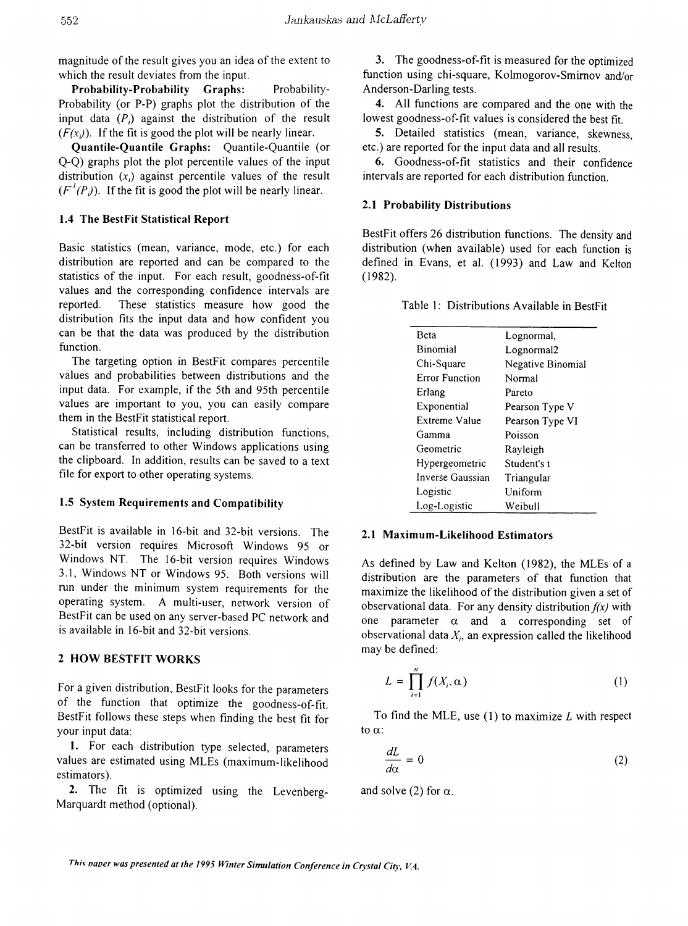magnitude of the result gives you an idea of the extent to which the result deviates from the input.

Probability-Probability Graphs: Probability-Probability (or P-P) graphs plot the distribution of the input data  $(P_i)$  against the distribution of the result  $(F(x_i))$ . If the fit is good the plot will be nearly linear.

Quantile-Quantile Graphs: Quantile-Quantile (or Q-Q) graphs plot the plot percentile values of the input distribution  $(x_i)$  against percentile values of the result  $(F'(P)$ ). If the fit is good the plot will be nearly linear.

### 1.4 The BestFit Statistical Report

Basic statistics (mean, variance, mode, etc.) for each distribution are reported and can be compared to the statistics of the input. For each result, goodness-of-fit values and the corresponding confidence intervals are reported. These statistics measure how good the distribution fits the input data and how confident you can be that the data was produced by the distribution function.

The targeting option in BestFit compares percentile values and probabilities between distributions and the input data. For example, if the 5th and 95th percentile values are important to you, you can easily compare them in the BestFit statistical report.

Statistical results, including distribution functions, can be transferred to other Windows applications using the clipboard. In addition, results can be saved to a text file for export to other operating systems.

#### 1.5 System Requirements and Compatibility

BestFit is available in 16-bit and 32-bit versions. The 32-bit version requires Microsoft Windows 95 or Windows NT. The 16-bit version requires Windows 3.1, Windows NT or Windows 95. Both versions will run under the minimum system requirements for the operating system. A multi-user, network version of BestFit can be used on any server-based PC network and is available in 16-bit and 32-bit versions.

### 2 HOW BESTFIT WORKS

For a given distribution, BestFit looks for the parameters of the function that optimize the goodness-of-fit. BestFit follows these steps when finding the best fit for your input data:

1. For each distribution type selected, parameters values are estimated using MLEs (maximum-likelihood estimators).

2. The fit is optimized using the Levenberg-Marquardt method (optional).

3. The goodness-of-fit is measured for the optimized function using chi-square, Kolmogorov-Smirnov and/or Anderson-Darling tests.

4. All functions are compared and the one with the lowest goodness-of-fit values is considered the best fit.

5. Detailed statistics (mean, variance, skewness, etc.) are reported for the input data and all results.

6. Goodness-of-fit statistics and their confidence intervals are reported for each distribution function.

### 2.1 Probability Distributions

BestFit offers 26 distribution functions. The density and distribution (when available) used for each function is defined in Evans, et al. (1993) and Law and Kelton (1982).

|  | Table 1: Distributions Available in BestFit |  |  |  |
|--|---------------------------------------------|--|--|--|
|--|---------------------------------------------|--|--|--|

| Beta                  | Lognormal,        |  |  |
|-----------------------|-------------------|--|--|
| Binomial              | Lognormal2        |  |  |
| Chi-Square            | Negative Binomial |  |  |
| <b>Error Function</b> | Normal            |  |  |
| Erlang                | Pareto            |  |  |
| Exponential           | Pearson Type V    |  |  |
| Extreme Value         | Pearson Type VI   |  |  |
| Gamma                 | Poisson           |  |  |
| Geometric             | Rayleigh          |  |  |
| Hypergeometric        | Student's t       |  |  |
| Inverse Gaussian      | Triangular        |  |  |
| Logistic              | Uniform           |  |  |
| Log-Logistic          | Weibull           |  |  |

#### 2.1 Maximum-Likelihood Estimators

As defmed by Law and Kelton (1982), the MLEs of a distribution are the parameters of that function that maximize the likelihood of the distribution given a set of observational data. For any density distribution *f(x)* with one parameter  $\alpha$  and a corresponding set of observational data  $X_i$ , an expression called the likelihood may be defined:

$$
L = \prod_{i=1}^{n} f(X_i, \alpha)
$$
 (1)

To find the MLE, use  $(1)$  to maximize L with respect to  $\alpha$ :

$$
\frac{dL}{d\alpha} = 0\tag{2}
$$

and solve (2) for  $\alpha$ .

Th;~ *naver was presented at the* 1995 *Jt7nter Simulation Conference in Crystal City, VA.*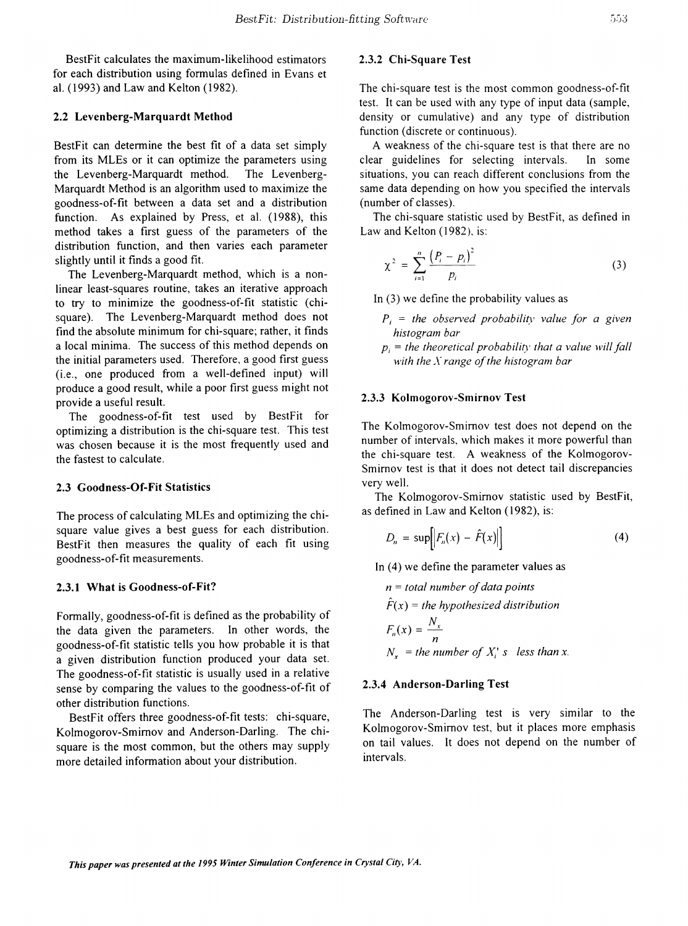BestFit calculates the maximum-likelihood estimators for each distribution using formulas defined in Evans et a1. (1993) and Law and Kelton (1982).

#### 2.2 Levenberg-Marquardt Method

BestFit can determine the best fit of a data set simply from its MLEs or it can optimize the parameters using the Levenberg-Marquardt method. The Levenberg-Marquardt Method is an algorithm used to maximize the goodness-of-fit between a data set and a distribution function. As explained by Press, et al. (1988), this method takes a first guess of the parameters of the distribution function, and then varies each parameter slightly until it finds a good fit.

The Levenberg-Marquardt method, which is a nonlinear least-squares routine, takes an iterative approach to try to minimize the goodness-of-fit statistic (chisquare). The Levenberg-Marquardt method does not find the absolute minimum for chi-square; rather, it finds a local minima. The success of this method depends on the initial parameters used. Therefore, a good first guess (i.e., one produced from a well-defined input) will produce a good result, while a poor first guess might not provide a useful result.

The goodness-of-fit test used by BestFit for optimizing a distribution is the chi-square test. This test was chosen because it is the most frequently used and the fastest to calculate.

### 2.3 Goodness-Of-Fit Statistics

The process of calculating MLEs and optimizing the chisquare value gives a best guess for each distribution. BestFit then measures the quality of each fit using goodness-of-fit measurements.

### 2.3.1 What is Goodness-of-Fit?

Formally, goodness-of-fit is defined as the probability of the data given the parameters. In other words, the goodness-of-fit statistic tells you how probable it is that a given distribution function produced your data set. The goodness-of-fit statistic is usually used in a relative sense by comparing the values to the goodness-of-fit of other distribution functions.

BestFit offers three goodness-of-fit tests: chi-square, Kolmogorov-Smimov and Anderson-Darling. The chisquare is the most common, but the others may supply more detailed information about your distribution.

## 2.3.2 Chi-Square Test

The chi-square test is the most common goodness-of-fit test. It can be used with any type of input data (sample, density or cumulative) and any type of distribution function (discrete or continuous).

A weakness of the chi-square test is that there are no clear guidelines for selecting intervals. In some situations, you can reach different conclusions from the same data depending on how you specified the intervals (number of classes).

The chi-square statistic used by BestFit, as defined in Law and Kelton (1982), is:

$$
\chi^{2} = \sum_{i=1}^{n} \frac{(P_{i} - p_{i})^{2}}{p_{i}}
$$
 (3)

In (3) we define the probability values as

- $P_i$  = *the observed probability value for a given histograln bar*
- $p_i$  = *the theoretical probability that a value will fall with the X range of the histogram bar*

#### 2.3.3 Kolmogorov-Smirnov Test

The Kolmogorov-Smimov test does not depend on the number of intervals, which makes it more powerful than the chi-square test. A weakness of the Kolmogorov-Smimov test is that it does not detect tail discrepancies very well.

The Kolmogorov-Smimov statistic used by BestFit, as defined in Law and Kelton (1982), is:

$$
D_n = \sup \bigg[ \big| F_n(x) - \hat{F}(x) \big| \bigg] \tag{4}
$$

In (4) we define the parameter values as

$$
n = total number of data points
$$
  
\n
$$
\hat{F}(x) = the hypothesized distribution
$$
  
\n
$$
F_n(x) = \frac{N_x}{n}
$$
  
\n
$$
N_x = the number of X_i's less than x.
$$

#### 2.3.4 Anderson-Darling Test

The Anderson-Darling test is very similar to the Kolmogorov-Smimov test, but it places more emphasis on tail values. It does not depend on the number of intervals.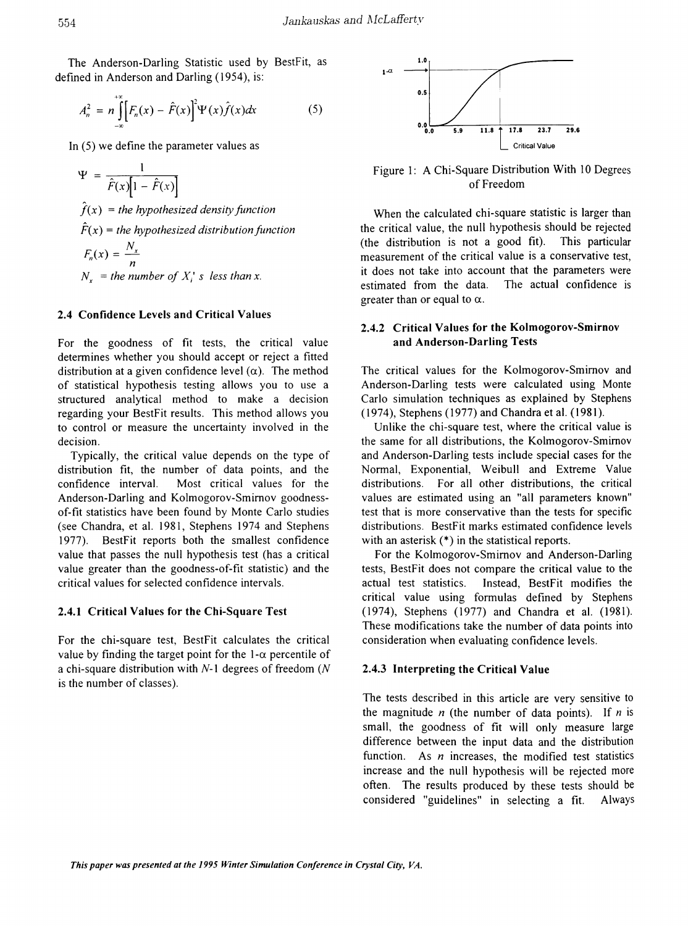The Anderson-Darling Statistic used by BestFit, as defined in Anderson and Darling (1954), is:

$$
A_n^2 = n \int_{-\infty}^{+\infty} \left[ F_n(x) - \hat{F}(x) \right]^2 \Psi(x) \hat{f}(x) dx \tag{5}
$$

In (5) we define the parameter values as

$$
\Psi = \frac{1}{\hat{F}(x)[1 - \hat{F}(x)]}
$$
  
\n
$$
\hat{f}(x) = the \, hypothesized \, density \, function
$$
  
\n
$$
\hat{F}(x) = the \, hypothesized \, distribution \, function
$$
  
\n
$$
F_n(x) = \frac{N_x}{n}
$$
  
\n
$$
N_x = the \, number \, of \, X_i^* \, s \, less \, than \, x.
$$

#### 2.4 Confidence Levels and Critical Values

For the goodness of fit tests, the critical value determines whether you should accept or reject a fitted distribution at a given confidence level  $(\alpha)$ . The method of statistical hypothesis testing allows you to use a structured analytical method to make a decision regarding your BestFit results. This method allows you to control or measure the uncertainty involved in the decision.

Typically, the critical value depends on the type of distribution fit, the number of data points, and the confidence interval. Most critical values for the Anderson-Darling and Kolmogorov-Smirnov goodnessof-fit statistics have been found by Monte Carlo studies (see Chandra, et al. 1981, Stephens 1974 and Stephens 1977). BestFit reports both the smallest confidence value that passes the null hypothesis test (has a critical value greater than the goodness-of-fit statistic) and the critical values for selected confidence intervals.

### 2.4.1 Critical Values for the Chi-Square Test

For the chi-square test, BestFit calculates the critical value by finding the target point for the  $1-\alpha$  percentile of a chi-square distribution with  $N-1$  degrees of freedom ( $N$ is the number of classes).



Figure 1: A Chi-Square Distribution With 10 Degrees of Freedom

When the calculated chi-square statistic is larger than the critical value, the null hypothesis should be rejected (the distribution is not a good fit). This particular measurement of the critical value is a conservative test, it does not take into account that the parameters were estimated from the data. The actual confidence is greater than or equal to  $\alpha$ .

## 2.4.2 Critical Values for the Kolmogorov-Smirnov and Anderson-Darling Tests

The critical values for the Kolmogorov-Smirnov and Anderson-Darling tests were calculated using Monte Carlo simulation techniques as explained by Stephens ( 1974), Stephens (1977) and Chandra et al. (1981).

Unlike the chi-square test, where the critical value is the same for all distributions, the Kolmogorov-Smimov and Anderson-Darling tests include special cases for the Normal, Exponential, Weibull and Extreme Value distributions. For all other distributions, the critical values are estimated using an "all parameters known" test that is more conservative than the tests for specific distributions. BestFit marks estimated confidence levels with an asterisk  $(*)$  in the statistical reports.

For the Kolmogorov-Smirnov and Anderson-Darling tests, BestFit does not compare the critical value to the actual test statistics. Instead, BestFit modifies the critical value using formulas defined by Stephens (1974), Stephens (1977) and Chandra et al. (1981). These modifications take the number of data points into consideration when evaluating confidence levels.

#### 2.4.3 Interpreting the Critical Value

The tests described in this article are very sensitive to the magnitude  $n$  (the number of data points). If  $n$  is small, the goodness of fit will only measure large difference between the input data and the distribution function. As *n* increases, the modified test statistics increase and the null hypothesis will be rejected more often. The results produced by these tests should be considered "guidelines" in selecting a fit. Always